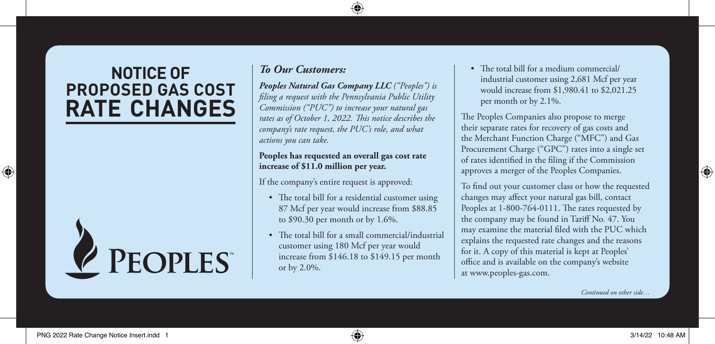# **NOTICE OF PROPOSED GAS COST RATE CHANGES**



## *To Our Customers:*

*Peoples Natural Gas Company LLC ("Peoples") is filing a request with the Pennsylvania Public Utility Commission ("PUC") to increase your natural gas rates as of October 1, 2022. This notice describes the company's rate request, the PUC's role, and what actions you can take.*

### **Peoples has requested an overall gas cost rate increase of \$11.0 million per year.**

If the company's entire request is approved:

- The total bill for a residential customer using 87 Mcf per year would increase from \$88.85 to \$90.30 per month or by 1.6%.
- The total bill for a small commercial/industrial customer using 180 Mcf per year would increase from \$146.18 to \$149.15 per month or by 2.0%.

• The total bill for a medium commercial/ industrial customer using 2,681 Mcf per year would increase from \$1,980.41 to \$2,021.25 per month or by 2.1%.

The Peoples Companies also propose to merge their separate rates for recovery of gas costs and the Merchant Function Charge ("MFC") and Gas Procurement Charge ("GPC") rates into a single set of rates identified in the filing if the Commission approves a merger of the Peoples Companies.

To find out your customer class or how the requested changes may affect your natural gas bill, contact Peoples at 1-800-764-0111. The rates requested by the company may be found in Tariff No. 47. You may examine the material filed with the PUC which explains the requested rate changes and the reasons for it. A copy of this material is kept at Peoples' office and is available on the company's website at www.peoples-gas.com.

*Continued on other side…*

⊕

⊕